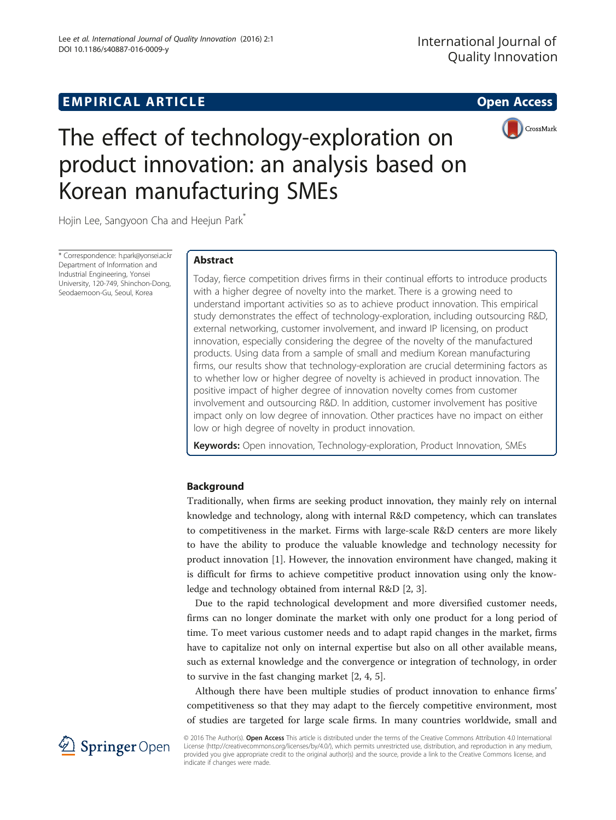

# The effect of technology-exploration on product innovation: an analysis based on Korean manufacturing SMEs

Hojin Lee, Sangyoon Cha and Heejun Park\*

\* Correspondence: [h.park@yonsei.ac.kr](mailto:<?A3B2 twb=.27w?><?A3B2 tlsb=-.28pt?>h.park@yonsei.ac.kr) Department of Information and Industrial Engineering, Yonsei University, 120-749, Shinchon-Dong, Seodaemoon-Gu, Seoul, Korea

# Abstract

Today, fierce competition drives firms in their continual efforts to introduce products with a higher degree of novelty into the market. There is a growing need to understand important activities so as to achieve product innovation. This empirical study demonstrates the effect of technology-exploration, including outsourcing R&D, external networking, customer involvement, and inward IP licensing, on product innovation, especially considering the degree of the novelty of the manufactured products. Using data from a sample of small and medium Korean manufacturing firms, our results show that technology-exploration are crucial determining factors as to whether low or higher degree of novelty is achieved in product innovation. The positive impact of higher degree of innovation novelty comes from customer involvement and outsourcing R&D. In addition, customer involvement has positive impact only on low degree of innovation. Other practices have no impact on either low or high degree of novelty in product innovation.

Keywords: Open innovation, Technology-exploration, Product Innovation, SMEs

# Background

Traditionally, when firms are seeking product innovation, they mainly rely on internal knowledge and technology, along with internal R&D competency, which can translates to competitiveness in the market. Firms with large-scale R&D centers are more likely to have the ability to produce the valuable knowledge and technology necessity for product innovation [[1\]](#page-13-0). However, the innovation environment have changed, making it is difficult for firms to achieve competitive product innovation using only the knowledge and technology obtained from internal R&D [[2, 3\]](#page-13-0).

Due to the rapid technological development and more diversified customer needs, firms can no longer dominate the market with only one product for a long period of time. To meet various customer needs and to adapt rapid changes in the market, firms have to capitalize not only on internal expertise but also on all other available means, such as external knowledge and the convergence or integration of technology, in order to survive in the fast changing market [[2, 4, 5](#page-13-0)].

Although there have been multiple studies of product innovation to enhance firms' competitiveness so that they may adapt to the fiercely competitive environment, most of studies are targeted for large scale firms. In many countries worldwide, small and



© 2016 The Author(s). Open Access This article is distributed under the terms of the Creative Commons Attribution 4.0 International License [\(http://creativecommons.org/licenses/by/4.0/](http://creativecommons.org/licenses/by/4.0/)), which permits unrestricted use, distribution, and reproduction in any medium, provided you give appropriate credit to the original author(s) and the source, provide a link to the Creative Commons license, and indicate if changes were made.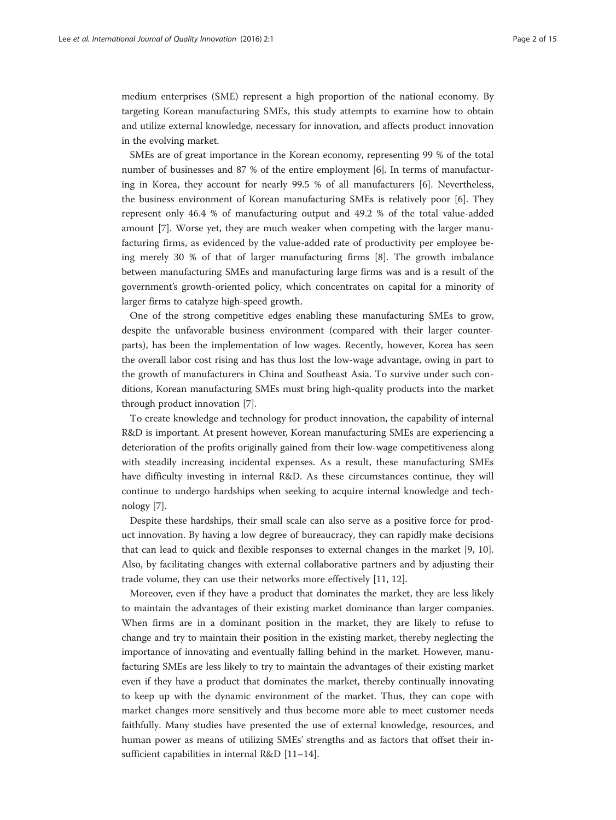medium enterprises (SME) represent a high proportion of the national economy. By targeting Korean manufacturing SMEs, this study attempts to examine how to obtain and utilize external knowledge, necessary for innovation, and affects product innovation in the evolving market.

SMEs are of great importance in the Korean economy, representing 99 % of the total number of businesses and 87 % of the entire employment [[6\]](#page-13-0). In terms of manufacturing in Korea, they account for nearly 99.5 % of all manufacturers [[6](#page-13-0)]. Nevertheless, the business environment of Korean manufacturing SMEs is relatively poor [[6\]](#page-13-0). They represent only 46.4 % of manufacturing output and 49.2 % of the total value-added amount [[7\]](#page-13-0). Worse yet, they are much weaker when competing with the larger manufacturing firms, as evidenced by the value-added rate of productivity per employee being merely 30 % of that of larger manufacturing firms [[8](#page-13-0)]. The growth imbalance between manufacturing SMEs and manufacturing large firms was and is a result of the government's growth-oriented policy, which concentrates on capital for a minority of larger firms to catalyze high-speed growth.

One of the strong competitive edges enabling these manufacturing SMEs to grow, despite the unfavorable business environment (compared with their larger counterparts), has been the implementation of low wages. Recently, however, Korea has seen the overall labor cost rising and has thus lost the low-wage advantage, owing in part to the growth of manufacturers in China and Southeast Asia. To survive under such conditions, Korean manufacturing SMEs must bring high-quality products into the market through product innovation [\[7\]](#page-13-0).

To create knowledge and technology for product innovation, the capability of internal R&D is important. At present however, Korean manufacturing SMEs are experiencing a deterioration of the profits originally gained from their low-wage competitiveness along with steadily increasing incidental expenses. As a result, these manufacturing SMEs have difficulty investing in internal R&D. As these circumstances continue, they will continue to undergo hardships when seeking to acquire internal knowledge and technology [\[7\]](#page-13-0).

Despite these hardships, their small scale can also serve as a positive force for product innovation. By having a low degree of bureaucracy, they can rapidly make decisions that can lead to quick and flexible responses to external changes in the market [\[9, 10](#page-13-0)]. Also, by facilitating changes with external collaborative partners and by adjusting their trade volume, they can use their networks more effectively [[11, 12\]](#page-13-0).

Moreover, even if they have a product that dominates the market, they are less likely to maintain the advantages of their existing market dominance than larger companies. When firms are in a dominant position in the market, they are likely to refuse to change and try to maintain their position in the existing market, thereby neglecting the importance of innovating and eventually falling behind in the market. However, manufacturing SMEs are less likely to try to maintain the advantages of their existing market even if they have a product that dominates the market, thereby continually innovating to keep up with the dynamic environment of the market. Thus, they can cope with market changes more sensitively and thus become more able to meet customer needs faithfully. Many studies have presented the use of external knowledge, resources, and human power as means of utilizing SMEs' strengths and as factors that offset their insufficient capabilities in internal R&D [[11](#page-13-0)–[14](#page-13-0)].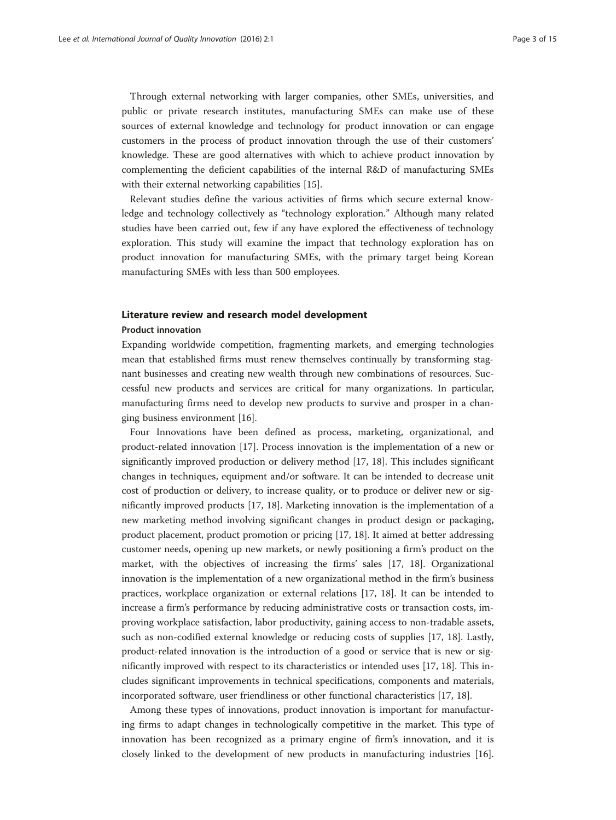Through external networking with larger companies, other SMEs, universities, and public or private research institutes, manufacturing SMEs can make use of these sources of external knowledge and technology for product innovation or can engage customers in the process of product innovation through the use of their customers' knowledge. These are good alternatives with which to achieve product innovation by complementing the deficient capabilities of the internal R&D of manufacturing SMEs with their external networking capabilities [[15](#page-13-0)].

Relevant studies define the various activities of firms which secure external knowledge and technology collectively as "technology exploration." Although many related studies have been carried out, few if any have explored the effectiveness of technology exploration. This study will examine the impact that technology exploration has on product innovation for manufacturing SMEs, with the primary target being Korean manufacturing SMEs with less than 500 employees.

### Literature review and research model development

#### Product innovation

Expanding worldwide competition, fragmenting markets, and emerging technologies mean that established firms must renew themselves continually by transforming stagnant businesses and creating new wealth through new combinations of resources. Successful new products and services are critical for many organizations. In particular, manufacturing firms need to develop new products to survive and prosper in a changing business environment [\[16](#page-13-0)].

Four Innovations have been defined as process, marketing, organizational, and product-related innovation [[17\]](#page-13-0). Process innovation is the implementation of a new or significantly improved production or delivery method [\[17](#page-13-0), [18](#page-13-0)]. This includes significant changes in techniques, equipment and/or software. It can be intended to decrease unit cost of production or delivery, to increase quality, or to produce or deliver new or significantly improved products [[17, 18\]](#page-13-0). Marketing innovation is the implementation of a new marketing method involving significant changes in product design or packaging, product placement, product promotion or pricing [[17](#page-13-0), [18](#page-13-0)]. It aimed at better addressing customer needs, opening up new markets, or newly positioning a firm's product on the market, with the objectives of increasing the firms' sales [\[17](#page-13-0), [18](#page-13-0)]. Organizational innovation is the implementation of a new organizational method in the firm's business practices, workplace organization or external relations [\[17](#page-13-0), [18](#page-13-0)]. It can be intended to increase a firm's performance by reducing administrative costs or transaction costs, improving workplace satisfaction, labor productivity, gaining access to non-tradable assets, such as non-codified external knowledge or reducing costs of supplies [\[17, 18](#page-13-0)]. Lastly, product-related innovation is the introduction of a good or service that is new or significantly improved with respect to its characteristics or intended uses [[17, 18\]](#page-13-0). This includes significant improvements in technical specifications, components and materials, incorporated software, user friendliness or other functional characteristics [[17](#page-13-0), [18](#page-13-0)].

Among these types of innovations, product innovation is important for manufacturing firms to adapt changes in technologically competitive in the market. This type of innovation has been recognized as a primary engine of firm's innovation, and it is closely linked to the development of new products in manufacturing industries [[16](#page-13-0)].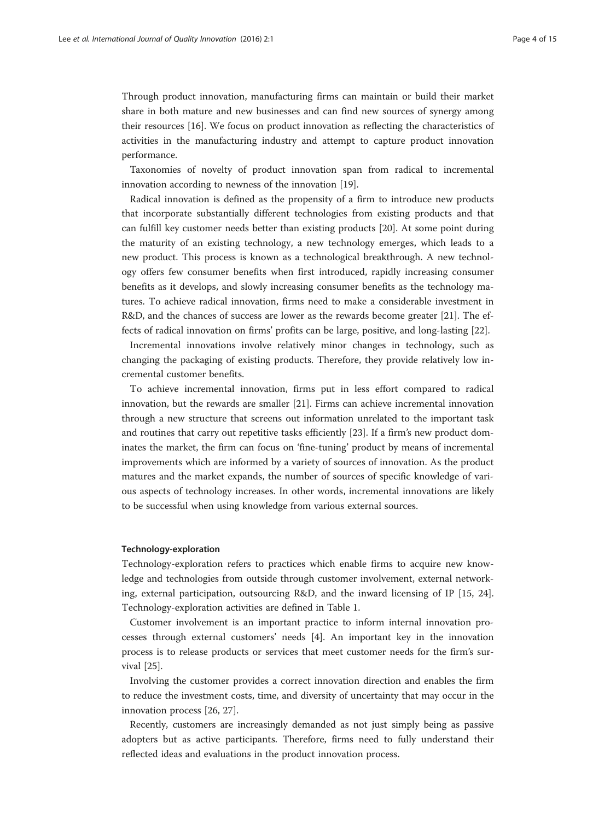Through product innovation, manufacturing firms can maintain or build their market share in both mature and new businesses and can find new sources of synergy among their resources [[16](#page-13-0)]. We focus on product innovation as reflecting the characteristics of activities in the manufacturing industry and attempt to capture product innovation performance.

Taxonomies of novelty of product innovation span from radical to incremental innovation according to newness of the innovation [[19\]](#page-13-0).

Radical innovation is defined as the propensity of a firm to introduce new products that incorporate substantially different technologies from existing products and that can fulfill key customer needs better than existing products [[20](#page-13-0)]. At some point during the maturity of an existing technology, a new technology emerges, which leads to a new product. This process is known as a technological breakthrough. A new technology offers few consumer benefits when first introduced, rapidly increasing consumer benefits as it develops, and slowly increasing consumer benefits as the technology matures. To achieve radical innovation, firms need to make a considerable investment in R&D, and the chances of success are lower as the rewards become greater [\[21](#page-13-0)]. The effects of radical innovation on firms' profits can be large, positive, and long-lasting [[22\]](#page-13-0).

Incremental innovations involve relatively minor changes in technology, such as changing the packaging of existing products. Therefore, they provide relatively low incremental customer benefits.

To achieve incremental innovation, firms put in less effort compared to radical innovation, but the rewards are smaller [[21](#page-13-0)]. Firms can achieve incremental innovation through a new structure that screens out information unrelated to the important task and routines that carry out repetitive tasks efficiently [[23\]](#page-13-0). If a firm's new product dominates the market, the firm can focus on 'fine-tuning' product by means of incremental improvements which are informed by a variety of sources of innovation. As the product matures and the market expands, the number of sources of specific knowledge of various aspects of technology increases. In other words, incremental innovations are likely to be successful when using knowledge from various external sources.

#### Technology-exploration

Technology-exploration refers to practices which enable firms to acquire new knowledge and technologies from outside through customer involvement, external networking, external participation, outsourcing R&D, and the inward licensing of IP [[15](#page-13-0), [24](#page-13-0)]. Technology-exploration activities are defined in Table [1](#page-4-0).

Customer involvement is an important practice to inform internal innovation processes through external customers' needs [\[4](#page-13-0)]. An important key in the innovation process is to release products or services that meet customer needs for the firm's survival [\[25](#page-13-0)].

Involving the customer provides a correct innovation direction and enables the firm to reduce the investment costs, time, and diversity of uncertainty that may occur in the innovation process [[26, 27](#page-13-0)].

Recently, customers are increasingly demanded as not just simply being as passive adopters but as active participants. Therefore, firms need to fully understand their reflected ideas and evaluations in the product innovation process.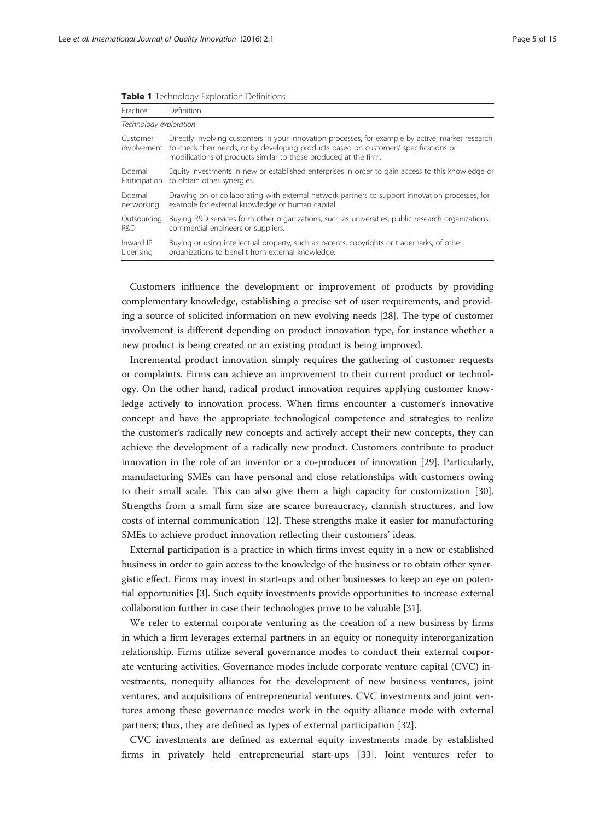| Practice               | Definition                                                                                                                                                                                                                                                                 |
|------------------------|----------------------------------------------------------------------------------------------------------------------------------------------------------------------------------------------------------------------------------------------------------------------------|
| Technology exploration |                                                                                                                                                                                                                                                                            |
| Customer               | Directly involving customers in your innovation processes, for example by active, market research<br>involvement to check their needs, or by developing products based on customers' specifications or<br>modifications of products similar to those produced at the firm. |
| External               | Equity investments in new or established enterprises in order to gain access to this knowledge or                                                                                                                                                                          |
| Participation          | to obtain other synergies.                                                                                                                                                                                                                                                 |
| External               | Drawing on or collaborating with external network partners to support innovation processes, for                                                                                                                                                                            |
| networking             | example for external knowledge or human capital.                                                                                                                                                                                                                           |
| Outsourcing            | Buying R&D services form other organizations, such as universities, public research organizations,                                                                                                                                                                         |
| R&D                    | commercial engineers or suppliers.                                                                                                                                                                                                                                         |
| Inward IP              | Buying or using intellectual property, such as patents, copyrights or trademarks, of other                                                                                                                                                                                 |
| Licensing              | organizations to benefit from external knowledge.                                                                                                                                                                                                                          |

<span id="page-4-0"></span>Table 1 Technology-Exploration Definitions

Customers influence the development or improvement of products by providing complementary knowledge, establishing a precise set of user requirements, and providing a source of solicited information on new evolving needs [[28](#page-13-0)]. The type of customer involvement is different depending on product innovation type, for instance whether a new product is being created or an existing product is being improved.

Incremental product innovation simply requires the gathering of customer requests or complaints. Firms can achieve an improvement to their current product or technology. On the other hand, radical product innovation requires applying customer knowledge actively to innovation process. When firms encounter a customer's innovative concept and have the appropriate technological competence and strategies to realize the customer's radically new concepts and actively accept their new concepts, they can achieve the development of a radically new product. Customers contribute to product innovation in the role of an inventor or a co-producer of innovation [\[29\]](#page-13-0). Particularly, manufacturing SMEs can have personal and close relationships with customers owing to their small scale. This can also give them a high capacity for customization [[30](#page-13-0)]. Strengths from a small firm size are scarce bureaucracy, clannish structures, and low costs of internal communication [\[12\]](#page-13-0). These strengths make it easier for manufacturing SMEs to achieve product innovation reflecting their customers' ideas.

External participation is a practice in which firms invest equity in a new or established business in order to gain access to the knowledge of the business or to obtain other synergistic effect. Firms may invest in start-ups and other businesses to keep an eye on potential opportunities [\[3\]](#page-13-0). Such equity investments provide opportunities to increase external collaboration further in case their technologies prove to be valuable [\[31\]](#page-13-0).

We refer to external corporate venturing as the creation of a new business by firms in which a firm leverages external partners in an equity or nonequity interorganization relationship. Firms utilize several governance modes to conduct their external corporate venturing activities. Governance modes include corporate venture capital (CVC) investments, nonequity alliances for the development of new business ventures, joint ventures, and acquisitions of entrepreneurial ventures. CVC investments and joint ventures among these governance modes work in the equity alliance mode with external partners; thus, they are defined as types of external participation [[32\]](#page-13-0).

CVC investments are defined as external equity investments made by established firms in privately held entrepreneurial start-ups [[33\]](#page-13-0). Joint ventures refer to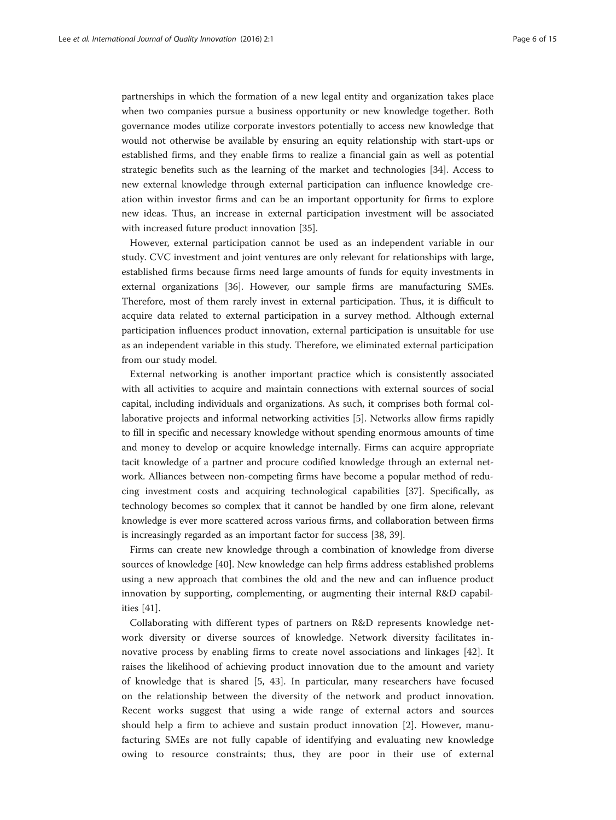partnerships in which the formation of a new legal entity and organization takes place when two companies pursue a business opportunity or new knowledge together. Both governance modes utilize corporate investors potentially to access new knowledge that would not otherwise be available by ensuring an equity relationship with start-ups or established firms, and they enable firms to realize a financial gain as well as potential strategic benefits such as the learning of the market and technologies [[34\]](#page-13-0). Access to new external knowledge through external participation can influence knowledge creation within investor firms and can be an important opportunity for firms to explore new ideas. Thus, an increase in external participation investment will be associated with increased future product innovation [\[35](#page-13-0)].

However, external participation cannot be used as an independent variable in our study. CVC investment and joint ventures are only relevant for relationships with large, established firms because firms need large amounts of funds for equity investments in external organizations [\[36](#page-13-0)]. However, our sample firms are manufacturing SMEs. Therefore, most of them rarely invest in external participation. Thus, it is difficult to acquire data related to external participation in a survey method. Although external participation influences product innovation, external participation is unsuitable for use as an independent variable in this study. Therefore, we eliminated external participation from our study model.

External networking is another important practice which is consistently associated with all activities to acquire and maintain connections with external sources of social capital, including individuals and organizations. As such, it comprises both formal collaborative projects and informal networking activities [\[5](#page-13-0)]. Networks allow firms rapidly to fill in specific and necessary knowledge without spending enormous amounts of time and money to develop or acquire knowledge internally. Firms can acquire appropriate tacit knowledge of a partner and procure codified knowledge through an external network. Alliances between non-competing firms have become a popular method of reducing investment costs and acquiring technological capabilities [\[37](#page-13-0)]. Specifically, as technology becomes so complex that it cannot be handled by one firm alone, relevant knowledge is ever more scattered across various firms, and collaboration between firms is increasingly regarded as an important factor for success [[38,](#page-13-0) [39\]](#page-14-0).

Firms can create new knowledge through a combination of knowledge from diverse sources of knowledge [\[40](#page-14-0)]. New knowledge can help firms address established problems using a new approach that combines the old and the new and can influence product innovation by supporting, complementing, or augmenting their internal R&D capabilities [\[41\]](#page-14-0).

Collaborating with different types of partners on R&D represents knowledge network diversity or diverse sources of knowledge. Network diversity facilitates innovative process by enabling firms to create novel associations and linkages [[42\]](#page-14-0). It raises the likelihood of achieving product innovation due to the amount and variety of knowledge that is shared [[5,](#page-13-0) [43](#page-14-0)]. In particular, many researchers have focused on the relationship between the diversity of the network and product innovation. Recent works suggest that using a wide range of external actors and sources should help a firm to achieve and sustain product innovation [\[2\]](#page-13-0). However, manufacturing SMEs are not fully capable of identifying and evaluating new knowledge owing to resource constraints; thus, they are poor in their use of external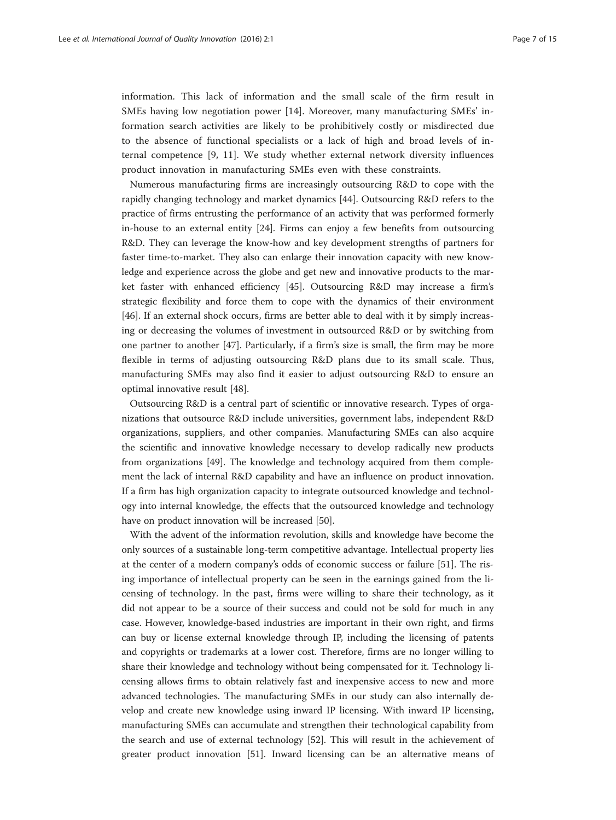information. This lack of information and the small scale of the firm result in SMEs having low negotiation power [[14](#page-13-0)]. Moreover, many manufacturing SMEs' information search activities are likely to be prohibitively costly or misdirected due to the absence of functional specialists or a lack of high and broad levels of internal competence [[9, 11\]](#page-13-0). We study whether external network diversity influences product innovation in manufacturing SMEs even with these constraints.

Numerous manufacturing firms are increasingly outsourcing R&D to cope with the rapidly changing technology and market dynamics [\[44](#page-14-0)]. Outsourcing R&D refers to the practice of firms entrusting the performance of an activity that was performed formerly in-house to an external entity [\[24\]](#page-13-0). Firms can enjoy a few benefits from outsourcing R&D. They can leverage the know-how and key development strengths of partners for faster time-to-market. They also can enlarge their innovation capacity with new knowledge and experience across the globe and get new and innovative products to the market faster with enhanced efficiency [\[45](#page-14-0)]. Outsourcing R&D may increase a firm's strategic flexibility and force them to cope with the dynamics of their environment [[46\]](#page-14-0). If an external shock occurs, firms are better able to deal with it by simply increasing or decreasing the volumes of investment in outsourced R&D or by switching from one partner to another [[47\]](#page-14-0). Particularly, if a firm's size is small, the firm may be more flexible in terms of adjusting outsourcing R&D plans due to its small scale. Thus, manufacturing SMEs may also find it easier to adjust outsourcing R&D to ensure an optimal innovative result [[48\]](#page-14-0).

Outsourcing R&D is a central part of scientific or innovative research. Types of organizations that outsource R&D include universities, government labs, independent R&D organizations, suppliers, and other companies. Manufacturing SMEs can also acquire the scientific and innovative knowledge necessary to develop radically new products from organizations [[49\]](#page-14-0). The knowledge and technology acquired from them complement the lack of internal R&D capability and have an influence on product innovation. If a firm has high organization capacity to integrate outsourced knowledge and technology into internal knowledge, the effects that the outsourced knowledge and technology have on product innovation will be increased [[50](#page-14-0)].

With the advent of the information revolution, skills and knowledge have become the only sources of a sustainable long-term competitive advantage. Intellectual property lies at the center of a modern company's odds of economic success or failure [\[51](#page-14-0)]. The rising importance of intellectual property can be seen in the earnings gained from the licensing of technology. In the past, firms were willing to share their technology, as it did not appear to be a source of their success and could not be sold for much in any case. However, knowledge-based industries are important in their own right, and firms can buy or license external knowledge through IP, including the licensing of patents and copyrights or trademarks at a lower cost. Therefore, firms are no longer willing to share their knowledge and technology without being compensated for it. Technology licensing allows firms to obtain relatively fast and inexpensive access to new and more advanced technologies. The manufacturing SMEs in our study can also internally develop and create new knowledge using inward IP licensing. With inward IP licensing, manufacturing SMEs can accumulate and strengthen their technological capability from the search and use of external technology [\[52](#page-14-0)]. This will result in the achievement of greater product innovation [\[51\]](#page-14-0). Inward licensing can be an alternative means of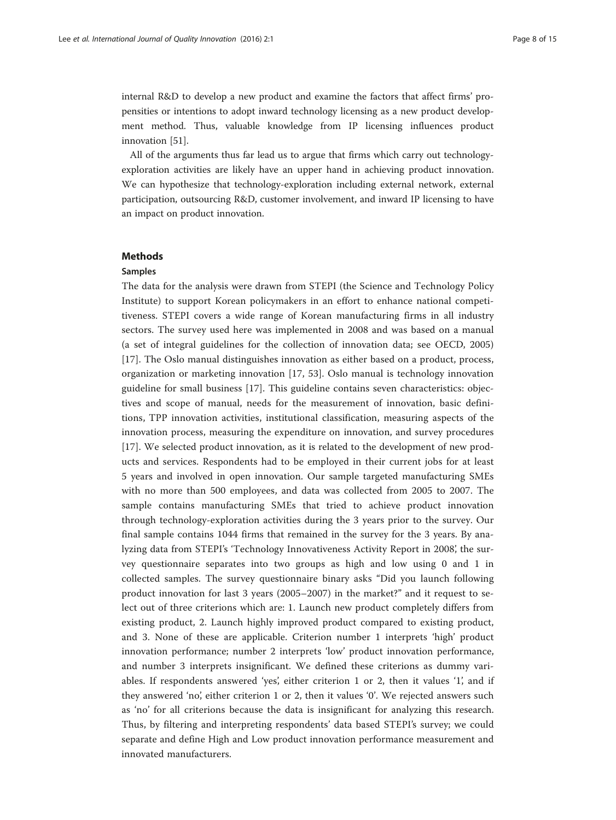internal R&D to develop a new product and examine the factors that affect firms' propensities or intentions to adopt inward technology licensing as a new product development method. Thus, valuable knowledge from IP licensing influences product innovation [\[51](#page-14-0)].

All of the arguments thus far lead us to argue that firms which carry out technologyexploration activities are likely have an upper hand in achieving product innovation. We can hypothesize that technology-exploration including external network, external participation, outsourcing R&D, customer involvement, and inward IP licensing to have an impact on product innovation.

## Methods

#### Samples

The data for the analysis were drawn from STEPI (the Science and Technology Policy Institute) to support Korean policymakers in an effort to enhance national competitiveness. STEPI covers a wide range of Korean manufacturing firms in all industry sectors. The survey used here was implemented in 2008 and was based on a manual (a set of integral guidelines for the collection of innovation data; see OECD, 2005) [[17\]](#page-13-0). The Oslo manual distinguishes innovation as either based on a product, process, organization or marketing innovation [\[17](#page-13-0), [53](#page-14-0)]. Oslo manual is technology innovation guideline for small business [[17\]](#page-13-0). This guideline contains seven characteristics: objectives and scope of manual, needs for the measurement of innovation, basic definitions, TPP innovation activities, institutional classification, measuring aspects of the innovation process, measuring the expenditure on innovation, and survey procedures [[17\]](#page-13-0). We selected product innovation, as it is related to the development of new products and services. Respondents had to be employed in their current jobs for at least 5 years and involved in open innovation. Our sample targeted manufacturing SMEs with no more than 500 employees, and data was collected from 2005 to 2007. The sample contains manufacturing SMEs that tried to achieve product innovation through technology-exploration activities during the 3 years prior to the survey. Our final sample contains 1044 firms that remained in the survey for the 3 years. By analyzing data from STEPI's 'Technology Innovativeness Activity Report in 2008', the survey questionnaire separates into two groups as high and low using 0 and 1 in collected samples. The survey questionnaire binary asks "Did you launch following product innovation for last 3 years (2005–2007) in the market?" and it request to select out of three criterions which are: 1. Launch new product completely differs from existing product, 2. Launch highly improved product compared to existing product, and 3. None of these are applicable. Criterion number 1 interprets 'high' product innovation performance; number 2 interprets 'low' product innovation performance, and number 3 interprets insignificant. We defined these criterions as dummy variables. If respondents answered 'yes', either criterion 1 or 2, then it values '1', and if they answered 'no', either criterion 1 or 2, then it values '0'. We rejected answers such as 'no' for all criterions because the data is insignificant for analyzing this research. Thus, by filtering and interpreting respondents' data based STEPI's survey; we could separate and define High and Low product innovation performance measurement and innovated manufacturers.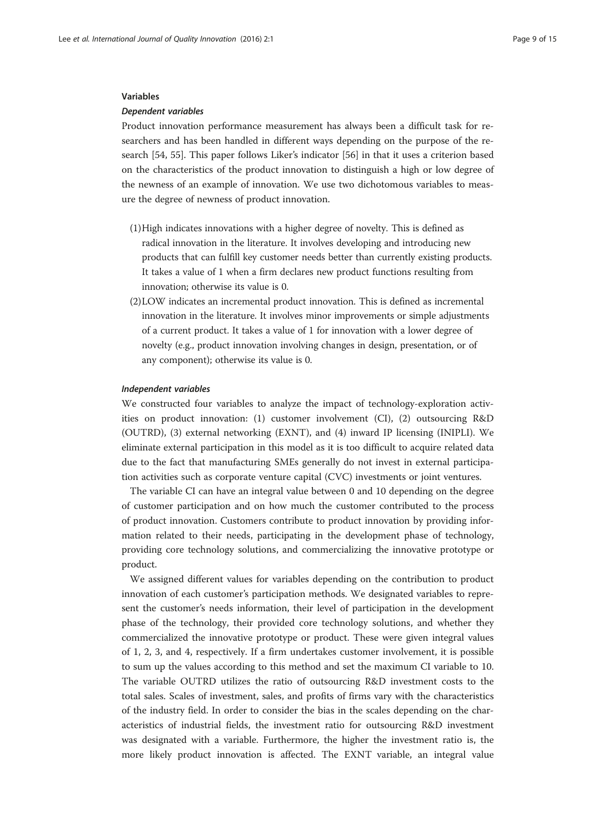#### Variables

#### Dependent variables

Product innovation performance measurement has always been a difficult task for researchers and has been handled in different ways depending on the purpose of the research [[54, 55\]](#page-14-0). This paper follows Liker's indicator [\[56\]](#page-14-0) in that it uses a criterion based on the characteristics of the product innovation to distinguish a high or low degree of the newness of an example of innovation. We use two dichotomous variables to measure the degree of newness of product innovation.

- (1)High indicates innovations with a higher degree of novelty. This is defined as radical innovation in the literature. It involves developing and introducing new products that can fulfill key customer needs better than currently existing products. It takes a value of 1 when a firm declares new product functions resulting from innovation; otherwise its value is 0.
- (2)LOW indicates an incremental product innovation. This is defined as incremental innovation in the literature. It involves minor improvements or simple adjustments of a current product. It takes a value of 1 for innovation with a lower degree of novelty (e.g., product innovation involving changes in design, presentation, or of any component); otherwise its value is 0.

#### Independent variables

We constructed four variables to analyze the impact of technology-exploration activities on product innovation: (1) customer involvement (CI), (2) outsourcing R&D (OUTRD), (3) external networking (EXNT), and (4) inward IP licensing (INIPLI). We eliminate external participation in this model as it is too difficult to acquire related data due to the fact that manufacturing SMEs generally do not invest in external participation activities such as corporate venture capital (CVC) investments or joint ventures.

The variable CI can have an integral value between 0 and 10 depending on the degree of customer participation and on how much the customer contributed to the process of product innovation. Customers contribute to product innovation by providing information related to their needs, participating in the development phase of technology, providing core technology solutions, and commercializing the innovative prototype or product.

We assigned different values for variables depending on the contribution to product innovation of each customer's participation methods. We designated variables to represent the customer's needs information, their level of participation in the development phase of the technology, their provided core technology solutions, and whether they commercialized the innovative prototype or product. These were given integral values of 1, 2, 3, and 4, respectively. If a firm undertakes customer involvement, it is possible to sum up the values according to this method and set the maximum CI variable to 10. The variable OUTRD utilizes the ratio of outsourcing R&D investment costs to the total sales. Scales of investment, sales, and profits of firms vary with the characteristics of the industry field. In order to consider the bias in the scales depending on the characteristics of industrial fields, the investment ratio for outsourcing R&D investment was designated with a variable. Furthermore, the higher the investment ratio is, the more likely product innovation is affected. The EXNT variable, an integral value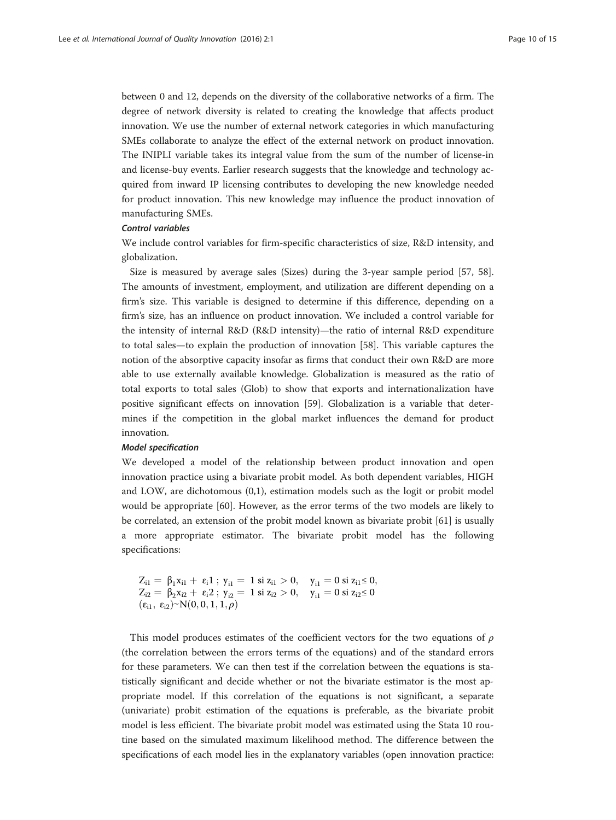between 0 and 12, depends on the diversity of the collaborative networks of a firm. The degree of network diversity is related to creating the knowledge that affects product innovation. We use the number of external network categories in which manufacturing SMEs collaborate to analyze the effect of the external network on product innovation. The INIPLI variable takes its integral value from the sum of the number of license-in and license-buy events. Earlier research suggests that the knowledge and technology acquired from inward IP licensing contributes to developing the new knowledge needed for product innovation. This new knowledge may influence the product innovation of manufacturing SMEs.

## Control variables

We include control variables for firm-specific characteristics of size, R&D intensity, and globalization.

Size is measured by average sales (Sizes) during the 3-year sample period [\[57](#page-14-0), [58](#page-14-0)]. The amounts of investment, employment, and utilization are different depending on a firm's size. This variable is designed to determine if this difference, depending on a firm's size, has an influence on product innovation. We included a control variable for the intensity of internal R&D (R&D intensity)—the ratio of internal R&D expenditure to total sales—to explain the production of innovation [\[58\]](#page-14-0). This variable captures the notion of the absorptive capacity insofar as firms that conduct their own R&D are more able to use externally available knowledge. Globalization is measured as the ratio of total exports to total sales (Glob) to show that exports and internationalization have positive significant effects on innovation [\[59](#page-14-0)]. Globalization is a variable that determines if the competition in the global market influences the demand for product innovation.

#### Model specification

We developed a model of the relationship between product innovation and open innovation practice using a bivariate probit model. As both dependent variables, HIGH and LOW, are dichotomous (0,1), estimation models such as the logit or probit model would be appropriate [\[60](#page-14-0)]. However, as the error terms of the two models are likely to be correlated, an extension of the probit model known as bivariate probit [\[61\]](#page-14-0) is usually a more appropriate estimator. The bivariate probit model has the following specifications:

zifications:  
\n
$$
Z_{i1} = \beta_1 x_{i1} + \epsilon_i 1 ; y_{i1} = 1 \text{ si } z_{i1} > 0, \quad y_{i1} = 0 \text{ si } z_{i1} \le 0,
$$
\n
$$
Z_{i2} = \beta_2 x_{i2} + \epsilon_i 2 ; y_{i2} = 1 \text{ si } z_{i2} > 0, \quad y_{i1} = 0 \text{ si } z_{i2} \le 0
$$
\n
$$
(\epsilon_{i1}, \epsilon_{i2}) \sim N(0, 0, 1, 1, \rho)
$$

This model produces estimates of the coefficient vectors for the two equations of  $\rho$ (the correlation between the errors terms of the equations) and of the standard errors for these parameters. We can then test if the correlation between the equations is statistically significant and decide whether or not the bivariate estimator is the most appropriate model. If this correlation of the equations is not significant, a separate (univariate) probit estimation of the equations is preferable, as the bivariate probit model is less efficient. The bivariate probit model was estimated using the Stata 10 routine based on the simulated maximum likelihood method. The difference between the specifications of each model lies in the explanatory variables (open innovation practice: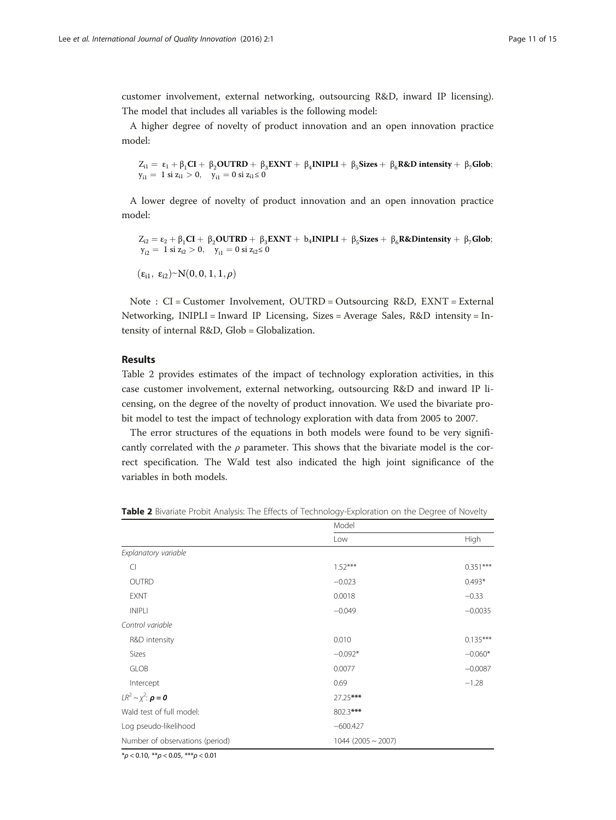customer involvement, external networking, outsourcing R&D, inward IP licensing). The model that includes all variables is the following model:

A higher degree of novelty of product innovation and an open innovation practice model:

 $Z_{i1}=~\epsilon_{1}+\beta_{1}CI+~\beta_{2}OUTRD+~\beta_{3}EXNT+~\beta_{4}INIPLI+~\beta_{5}Sizes+~\beta_{6}R\&D\text{ intensity}+~\beta_{7}Glob;$  $y_{i1} = 1$  si  $z_{i1} > 0$ ,  $y_{i1} = 0$  si  $z_{i1} \le 0$ 

A lower degree of novelty of product innovation and an open innovation practice model:

$$
\begin{array}{l} Z_{i2}=\epsilon_2+\beta_1{\textbf{CI}}+\ \beta_2{\textbf{OUTRD}}+\ \beta_3{\textbf{EXNT}}+\ b_4{\textbf{INIPLI}}+\ \beta_5{\textbf{Sizes}}+\ \beta_6{\textbf{R\&Dintensity}}+\ \beta_7{\textbf{Glob}};\\ y_{i2}=1\ \text{si}\ z_{i2}>0,\quad y_{i1}=0\ \text{si}\ z_{i2}\!\leq\!0\end{array}
$$

 $(\epsilon_{i1}, \epsilon_{i2}) \sim N(0, 0, 1, 1, \rho)$ 

Note : CI = Customer Involvement, OUTRD = Outsourcing R&D, EXNT = External Networking, INIPLI = Inward IP Licensing, Sizes = Average Sales, R&D intensity = Intensity of internal R&D, Glob = Globalization.

## Results

Table 2 provides estimates of the impact of technology exploration activities, in this case customer involvement, external networking, outsourcing R&D and inward IP licensing, on the degree of the novelty of product innovation. We used the bivariate probit model to test the impact of technology exploration with data from 2005 to 2007.

The error structures of the equations in both models were found to be very significantly correlated with the  $\rho$  parameter. This shows that the bivariate model is the correct specification. The Wald test also indicated the high joint significance of the variables in both models.

|                                 | Model                  |            |
|---------------------------------|------------------------|------------|
|                                 | Low                    | High       |
| Explanatory variable            |                        |            |
| CI                              | $1.52***$              | $0.351***$ |
| OUTRD                           | $-0.023$               | $0.493*$   |
| <b>EXNT</b>                     | 0.0018                 | $-0.33$    |
| <b>INIPLI</b>                   | $-0.049$               | $-0.0035$  |
| Control variable                |                        |            |
| R&D intensity                   | 0.010                  | $0.135***$ |
| <b>Sizes</b>                    | $-0.092*$              | $-0.060*$  |
| <b>GLOB</b>                     | 0.0077                 | $-0.0087$  |
| Intercept                       | 0.69                   | $-1.28$    |
| $LR^2 \sim \chi^2$ : $\rho = 0$ | 27.25***               |            |
| Wald test of full model:        | 802.3***               |            |
| Log pseudo-likelihood           | $-600.427$             |            |
| Number of observations (period) | $1044(2005 \sim 2007)$ |            |

Table 2 Bivariate Probit Analysis: The Effects of Technology-Exploration on the Degree of Novelty

 $*\rho$  < 0.10,  $**\rho$  < 0.05,  $***\rho$  < 0.01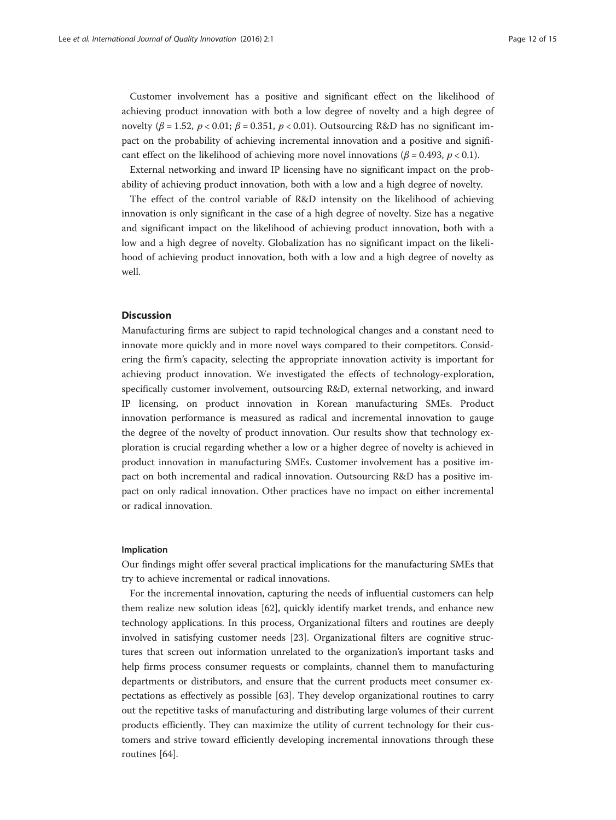Customer involvement has a positive and significant effect on the likelihood of achieving product innovation with both a low degree of novelty and a high degree of novelty (β = 1.52,  $p < 0.01$ ; β = 0.351,  $p < 0.01$ ). Outsourcing R&D has no significant impact on the probability of achieving incremental innovation and a positive and significant effect on the likelihood of achieving more novel innovations ( $\beta$  = 0.493, p < 0.1).

External networking and inward IP licensing have no significant impact on the probability of achieving product innovation, both with a low and a high degree of novelty.

The effect of the control variable of R&D intensity on the likelihood of achieving innovation is only significant in the case of a high degree of novelty. Size has a negative and significant impact on the likelihood of achieving product innovation, both with a low and a high degree of novelty. Globalization has no significant impact on the likelihood of achieving product innovation, both with a low and a high degree of novelty as well.

## **Discussion**

Manufacturing firms are subject to rapid technological changes and a constant need to innovate more quickly and in more novel ways compared to their competitors. Considering the firm's capacity, selecting the appropriate innovation activity is important for achieving product innovation. We investigated the effects of technology-exploration, specifically customer involvement, outsourcing R&D, external networking, and inward IP licensing, on product innovation in Korean manufacturing SMEs. Product innovation performance is measured as radical and incremental innovation to gauge the degree of the novelty of product innovation. Our results show that technology exploration is crucial regarding whether a low or a higher degree of novelty is achieved in product innovation in manufacturing SMEs. Customer involvement has a positive impact on both incremental and radical innovation. Outsourcing R&D has a positive impact on only radical innovation. Other practices have no impact on either incremental or radical innovation.

### Implication

Our findings might offer several practical implications for the manufacturing SMEs that try to achieve incremental or radical innovations.

For the incremental innovation, capturing the needs of influential customers can help them realize new solution ideas [[62\]](#page-14-0), quickly identify market trends, and enhance new technology applications. In this process, Organizational filters and routines are deeply involved in satisfying customer needs [[23\]](#page-13-0). Organizational filters are cognitive structures that screen out information unrelated to the organization's important tasks and help firms process consumer requests or complaints, channel them to manufacturing departments or distributors, and ensure that the current products meet consumer expectations as effectively as possible [[63](#page-14-0)]. They develop organizational routines to carry out the repetitive tasks of manufacturing and distributing large volumes of their current products efficiently. They can maximize the utility of current technology for their customers and strive toward efficiently developing incremental innovations through these routines [\[64](#page-14-0)].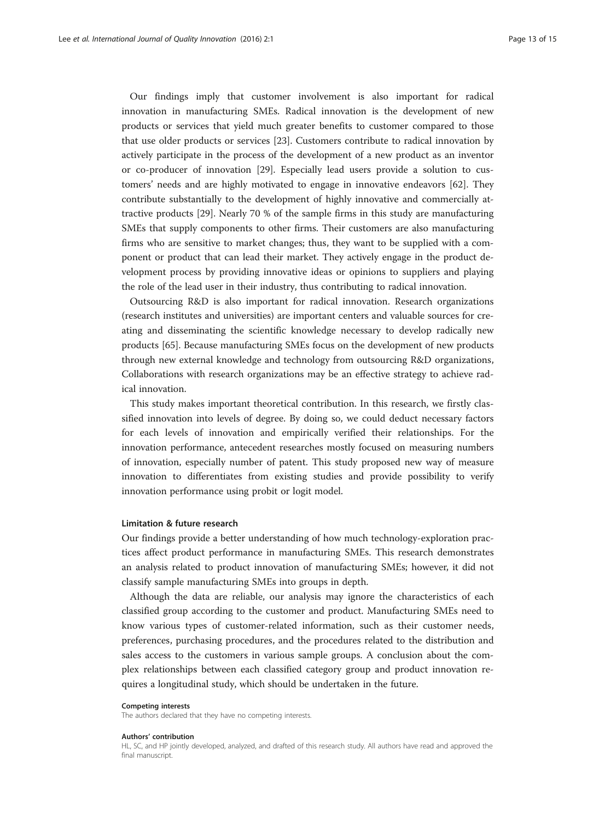Our findings imply that customer involvement is also important for radical innovation in manufacturing SMEs. Radical innovation is the development of new products or services that yield much greater benefits to customer compared to those that use older products or services [[23](#page-13-0)]. Customers contribute to radical innovation by actively participate in the process of the development of a new product as an inventor or co-producer of innovation [\[29](#page-13-0)]. Especially lead users provide a solution to customers' needs and are highly motivated to engage in innovative endeavors [[62\]](#page-14-0). They contribute substantially to the development of highly innovative and commercially attractive products [\[29](#page-13-0)]. Nearly 70 % of the sample firms in this study are manufacturing SMEs that supply components to other firms. Their customers are also manufacturing firms who are sensitive to market changes; thus, they want to be supplied with a component or product that can lead their market. They actively engage in the product development process by providing innovative ideas or opinions to suppliers and playing the role of the lead user in their industry, thus contributing to radical innovation.

Outsourcing R&D is also important for radical innovation. Research organizations (research institutes and universities) are important centers and valuable sources for creating and disseminating the scientific knowledge necessary to develop radically new products [[65\]](#page-14-0). Because manufacturing SMEs focus on the development of new products through new external knowledge and technology from outsourcing R&D organizations, Collaborations with research organizations may be an effective strategy to achieve radical innovation.

This study makes important theoretical contribution. In this research, we firstly classified innovation into levels of degree. By doing so, we could deduct necessary factors for each levels of innovation and empirically verified their relationships. For the innovation performance, antecedent researches mostly focused on measuring numbers of innovation, especially number of patent. This study proposed new way of measure innovation to differentiates from existing studies and provide possibility to verify innovation performance using probit or logit model.

## Limitation & future research

Our findings provide a better understanding of how much technology-exploration practices affect product performance in manufacturing SMEs. This research demonstrates an analysis related to product innovation of manufacturing SMEs; however, it did not classify sample manufacturing SMEs into groups in depth.

Although the data are reliable, our analysis may ignore the characteristics of each classified group according to the customer and product. Manufacturing SMEs need to know various types of customer-related information, such as their customer needs, preferences, purchasing procedures, and the procedures related to the distribution and sales access to the customers in various sample groups. A conclusion about the complex relationships between each classified category group and product innovation requires a longitudinal study, which should be undertaken in the future.

#### Competing interests

The authors declared that they have no competing interests.

#### Authors' contribution

HL, SC, and HP jointly developed, analyzed, and drafted of this research study. All authors have read and approved the final manuscript.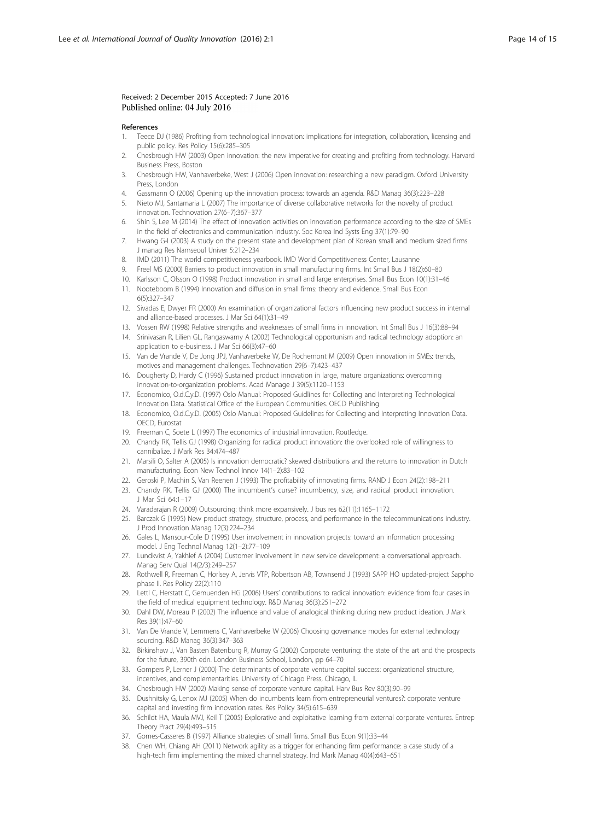#### <span id="page-13-0"></span>Received: 2 December 2015 Accepted: 7 June 2016 Published online: 04 July 2016

#### **References**

- Teece DJ (1986) Profiting from technological innovation: implications for integration, collaboration, licensing and public policy. Res Policy 15(6):285–305
- 2. Chesbrough HW (2003) Open innovation: the new imperative for creating and profiting from technology. Harvard Business Press, Boston
- 3. Chesbrough HW, Vanhaverbeke, West J (2006) Open innovation: researching a new paradigm. Oxford University Press, London
- 4. Gassmann O (2006) Opening up the innovation process: towards an agenda. R&D Manag 36(3):223–228
- 5. Nieto MJ, Santamaria L (2007) The importance of diverse collaborative networks for the novelty of product innovation. Technovation 27(6–7):367–377
- 6. Shin S, Lee M (2014) The effect of innovation activities on innovation performance according to the size of SMEs in the field of electronics and communication industry. Soc Korea Ind Systs Eng 37(1):79–90
- 7. Hwang G-I (2003) A study on the present state and development plan of Korean small and medium sized firms. J manag Res Namseoul Univer 5:212–234
- 8. IMD (2011) The world competitiveness yearbook. IMD World Competitiveness Center, Lausanne
- 9. Freel MS (2000) Barriers to product innovation in small manufacturing firms. Int Small Bus J 18(2):60–80
- 10. Karlsson C, Olsson O (1998) Product innovation in small and large enterprises. Small Bus Econ 10(1):31–46
- 11. Nooteboom B (1994) Innovation and diffusion in small firms: theory and evidence. Small Bus Econ 6(5):327–347
- 12. Sivadas E, Dwyer FR (2000) An examination of organizational factors influencing new product success in internal and alliance-based processes. J Mar Sci 64(1):31–49
- 13. Vossen RW (1998) Relative strengths and weaknesses of small firms in innovation. Int Small Bus J 16(3):88–94
- 14. Srinivasan R, Lilien GL, Rangaswamy A (2002) Technological opportunism and radical technology adoption: an application to e-business. J Mar Sci 66(3):47–60
- 15. Van de Vrande V, De Jong JPJ, Vanhaverbeke W, De Rochemont M (2009) Open innovation in SMEs: trends, motives and management challenges. Technovation 29(6–7):423–437
- 16. Dougherty D, Hardy C (1996) Sustained product innovation in large, mature organizations: overcoming innovation-to-organization problems. Acad Manage J 39(5):1120–1153
- 17. Economico, O.d.C.y.D. (1997) Oslo Manual: Proposed Guidlines for Collecting and Interpreting Technological Innovation Data. Statistical Office of the European Communities. OECD Publishing
- 18. Economico, O.d.C.y.D. (2005) Oslo Manual: Proposed Guidelines for Collecting and Interpreting Innovation Data. OECD, Eurostat
- 19. Freeman C, Soete L (1997) The economics of industrial innovation. Routledge.
- 20. Chandy RK, Tellis GJ (1998) Organizing for radical product innovation: the overlooked role of willingness to cannibalize. J Mark Res 34:474–487
- 21. Marsili O, Salter A (2005) Is innovation democratic? skewed distributions and the returns to innovation in Dutch manufacturing. Econ New Technol Innov 14(1–2):83–102
- 22. Geroski P, Machin S, Van Reenen J (1993) The profitability of innovating firms. RAND J Econ 24(2):198–211
- 23. Chandy RK, Tellis GJ (2000) The incumbent's curse? incumbency, size, and radical product innovation. J Mar Sci 64:1–17
- 24. Varadarajan R (2009) Outsourcing: think more expansively. J bus res 62(11):1165–1172
- 25. Barczak G (1995) New product strategy, structure, process, and performance in the telecommunications industry. J Prod Innovation Manag 12(3):224–234
- 26. Gales L, Mansour-Cole D (1995) User involvement in innovation projects: toward an information processing model. J Eng Technol Manag 12(1–2):77–109
- 27. Lundkvist A, Yakhlef A (2004) Customer involvement in new service development: a conversational approach. Manag Serv Qual 14(2/3):249–257
- 28. Rothwell R, Freeman C, Horlsey A, Jervis VTP, Robertson AB, Townsend J (1993) SAPP HO updated-project Sappho phase II. Res Policy 22(2):110
- 29. Lettl C, Herstatt C, Gemuenden HG (2006) Users' contributions to radical innovation: evidence from four cases in the field of medical equipment technology. R&D Manag 36(3):251–272
- 30. Dahl DW, Moreau P (2002) The influence and value of analogical thinking during new product ideation. J Mark Res 39(1):47–60
- 31. Van De Vrande V, Lemmens C, Vanhaverbeke W (2006) Choosing governance modes for external technology sourcing. R&D Manag 36(3):347–363
- 32. Birkinshaw J, Van Basten Batenburg R, Murray G (2002) Corporate venturing: the state of the art and the prospects for the future, 390th edn. London Business School, London, pp 64–70
- 33. Gompers P, Lerner J (2000) The determinants of corporate venture capital success: organizational structure, incentives, and complementarities. University of Chicago Press, Chicago, IL
- 34. Chesbrough HW (2002) Making sense of corporate venture capital. Harv Bus Rev 80(3):90–99
- 35. Dushnitsky G, Lenox MJ (2005) When do incumbents learn from entrepreneurial ventures?: corporate venture capital and investing firm innovation rates. Res Policy 34(5):615–639
- 36. Schildt HA, Maula MVJ, Keil T (2005) Explorative and exploitative learning from external corporate ventures. Entrep Theory Pract 29(4):493–515
- 37. Gomes-Casseres B (1997) Alliance strategies of small firms. Small Bus Econ 9(1):33–44
- 38. Chen WH, Chiang AH (2011) Network agility as a trigger for enhancing firm performance: a case study of a high-tech firm implementing the mixed channel strategy. Ind Mark Manag 40(4):643–651